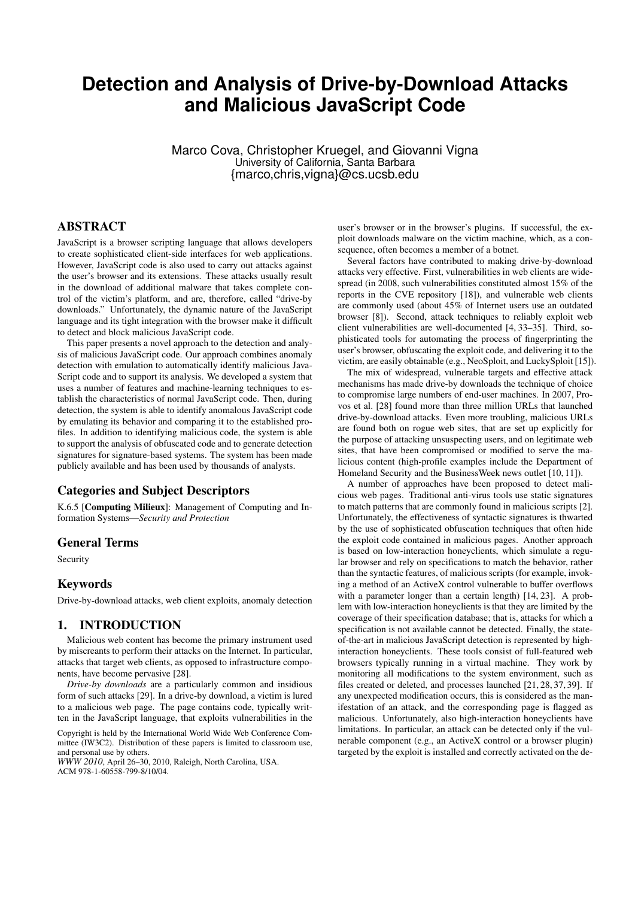# **Detection and Analysis of Drive-by-Download Attacks and Malicious JavaScript Code**

Marco Cova, Christopher Kruegel, and Giovanni Vigna University of California, Santa Barbara {marco,chris,vigna}@cs.ucsb.edu

# ABSTRACT

JavaScript is a browser scripting language that allows developers to create sophisticated client-side interfaces for web applications. However, JavaScript code is also used to carry out attacks against the user's browser and its extensions. These attacks usually result in the download of additional malware that takes complete control of the victim's platform, and are, therefore, called "drive-by downloads." Unfortunately, the dynamic nature of the JavaScript language and its tight integration with the browser make it difficult to detect and block malicious JavaScript code.

This paper presents a novel approach to the detection and analysis of malicious JavaScript code. Our approach combines anomaly detection with emulation to automatically identify malicious Java-Script code and to support its analysis. We developed a system that uses a number of features and machine-learning techniques to establish the characteristics of normal JavaScript code. Then, during detection, the system is able to identify anomalous JavaScript code by emulating its behavior and comparing it to the established profiles. In addition to identifying malicious code, the system is able to support the analysis of obfuscated code and to generate detection signatures for signature-based systems. The system has been made publicly available and has been used by thousands of analysts.

## Categories and Subject Descriptors

K.6.5 [Computing Milieux]: Management of Computing and Information Systems—*Security and Protection*

#### General Terms

Security

## Keywords

Drive-by-download attacks, web client exploits, anomaly detection

# 1. INTRODUCTION

Malicious web content has become the primary instrument used by miscreants to perform their attacks on the Internet. In particular, attacks that target web clients, as opposed to infrastructure components, have become pervasive [28].

*Drive-by downloads* are a particularly common and insidious form of such attacks [29]. In a drive-by download, a victim is lured to a malicious web page. The page contains code, typically written in the JavaScript language, that exploits vulnerabilities in the

Copyright is held by the International World Wide Web Conference Committee (IW3C2). Distribution of these papers is limited to classroom use, and personal use by others.

*WWW 2010*, April 26–30, 2010, Raleigh, North Carolina, USA. ACM 978-1-60558-799-8/10/04.

user's browser or in the browser's plugins. If successful, the exploit downloads malware on the victim machine, which, as a consequence, often becomes a member of a botnet.

Several factors have contributed to making drive-by-download attacks very effective. First, vulnerabilities in web clients are widespread (in 2008, such vulnerabilities constituted almost 15% of the reports in the CVE repository [18]), and vulnerable web clients are commonly used (about 45% of Internet users use an outdated browser [8]). Second, attack techniques to reliably exploit web client vulnerabilities are well-documented [4, 33–35]. Third, sophisticated tools for automating the process of fingerprinting the user's browser, obfuscating the exploit code, and delivering it to the victim, are easily obtainable (e.g., NeoSploit, and LuckySploit [15]).

The mix of widespread, vulnerable targets and effective attack mechanisms has made drive-by downloads the technique of choice to compromise large numbers of end-user machines. In 2007, Provos et al. [28] found more than three million URLs that launched drive-by-download attacks. Even more troubling, malicious URLs are found both on rogue web sites, that are set up explicitly for the purpose of attacking unsuspecting users, and on legitimate web sites, that have been compromised or modified to serve the malicious content (high-profile examples include the Department of Homeland Security and the BusinessWeek news outlet [10, 11]).

A number of approaches have been proposed to detect malicious web pages. Traditional anti-virus tools use static signatures to match patterns that are commonly found in malicious scripts [2]. Unfortunately, the effectiveness of syntactic signatures is thwarted by the use of sophisticated obfuscation techniques that often hide the exploit code contained in malicious pages. Another approach is based on low-interaction honeyclients, which simulate a regular browser and rely on specifications to match the behavior, rather than the syntactic features, of malicious scripts (for example, invoking a method of an ActiveX control vulnerable to buffer overflows with a parameter longer than a certain length) [14, 23]. A problem with low-interaction honeyclients is that they are limited by the coverage of their specification database; that is, attacks for which a specification is not available cannot be detected. Finally, the stateof-the-art in malicious JavaScript detection is represented by highinteraction honeyclients. These tools consist of full-featured web browsers typically running in a virtual machine. They work by monitoring all modifications to the system environment, such as files created or deleted, and processes launched [21, 28, 37, 39]. If any unexpected modification occurs, this is considered as the manifestation of an attack, and the corresponding page is flagged as malicious. Unfortunately, also high-interaction honeyclients have limitations. In particular, an attack can be detected only if the vulnerable component (e.g., an ActiveX control or a browser plugin) targeted by the exploit is installed and correctly activated on the de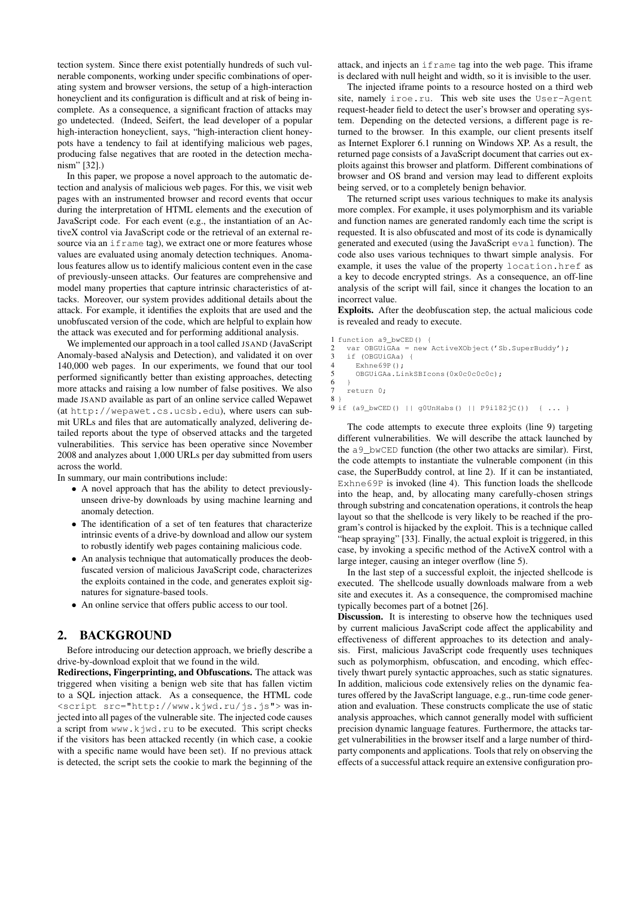tection system. Since there exist potentially hundreds of such vulnerable components, working under specific combinations of operating system and browser versions, the setup of a high-interaction honeyclient and its configuration is difficult and at risk of being incomplete. As a consequence, a significant fraction of attacks may go undetected. (Indeed, Seifert, the lead developer of a popular high-interaction honeyclient, says, "high-interaction client honeypots have a tendency to fail at identifying malicious web pages, producing false negatives that are rooted in the detection mechanism" [32].)

In this paper, we propose a novel approach to the automatic detection and analysis of malicious web pages. For this, we visit web pages with an instrumented browser and record events that occur during the interpretation of HTML elements and the execution of JavaScript code. For each event (e.g., the instantiation of an ActiveX control via JavaScript code or the retrieval of an external resource via an  $if$   $r$  ame tag), we extract one or more features whose values are evaluated using anomaly detection techniques. Anomalous features allow us to identify malicious content even in the case of previously-unseen attacks. Our features are comprehensive and model many properties that capture intrinsic characteristics of attacks. Moreover, our system provides additional details about the attack. For example, it identifies the exploits that are used and the unobfuscated version of the code, which are helpful to explain how the attack was executed and for performing additional analysis.

We implemented our approach in a tool called JSAND (JavaScript Anomaly-based aNalysis and Detection), and validated it on over 140,000 web pages. In our experiments, we found that our tool performed significantly better than existing approaches, detecting more attacks and raising a low number of false positives. We also made JSAND available as part of an online service called Wepawet (at http://wepawet.cs.ucsb.edu), where users can submit URLs and files that are automatically analyzed, delivering detailed reports about the type of observed attacks and the targeted vulnerabilities. This service has been operative since November 2008 and analyzes about 1,000 URLs per day submitted from users across the world.

In summary, our main contributions include:

- A novel approach that has the ability to detect previouslyunseen drive-by downloads by using machine learning and anomaly detection.
- The identification of a set of ten features that characterize intrinsic events of a drive-by download and allow our system to robustly identify web pages containing malicious code.
- An analysis technique that automatically produces the deobfuscated version of malicious JavaScript code, characterizes the exploits contained in the code, and generates exploit signatures for signature-based tools.
- An online service that offers public access to our tool.

# 2. BACKGROUND

Before introducing our detection approach, we briefly describe a drive-by-download exploit that we found in the wild.

Redirections, Fingerprinting, and Obfuscations. The attack was triggered when visiting a benign web site that has fallen victim to a SQL injection attack. As a consequence, the HTML code <script src="http://www.kjwd.ru/js.js"> was injected into all pages of the vulnerable site. The injected code causes a script from www.kjwd.ru to be executed. This script checks if the visitors has been attacked recently (in which case, a cookie with a specific name would have been set). If no previous attack is detected, the script sets the cookie to mark the beginning of the

attack, and injects an iframe tag into the web page. This iframe is declared with null height and width, so it is invisible to the user.

The injected iframe points to a resource hosted on a third web site, namely iroe.ru. This web site uses the User-Agent request-header field to detect the user's browser and operating system. Depending on the detected versions, a different page is returned to the browser. In this example, our client presents itself as Internet Explorer 6.1 running on Windows XP. As a result, the returned page consists of a JavaScript document that carries out exploits against this browser and platform. Different combinations of browser and OS brand and version may lead to different exploits being served, or to a completely benign behavior.

The returned script uses various techniques to make its analysis more complex. For example, it uses polymorphism and its variable and function names are generated randomly each time the script is requested. It is also obfuscated and most of its code is dynamically generated and executed (using the JavaScript eval function). The code also uses various techniques to thwart simple analysis. For example, it uses the value of the property location.href as a key to decode encrypted strings. As a consequence, an off-line analysis of the script will fail, since it changes the location to an incorrect value.

Exploits. After the deobfuscation step, the actual malicious code is revealed and ready to execute.

```
1 function a9_bwCED() {
```

```
var OBGUiGAa = new ActiveXObject ('Sb.SuperBuddy');
    3 if (OBGUiGAa) {
      Exhne69P():
      5 OBGUiGAa.LinkSBIcons(0x0c0c0c0c);
6 }
    return 0;
\mathbf{R} \mathbf{R}9 if (a9_bwCED() || g0UnHabs() || P9i182jC()) { ... }
```
The code attempts to execute three exploits (line 9) targeting different vulnerabilities. We will describe the attack launched by the a9\_bwCED function (the other two attacks are similar). First, the code attempts to instantiate the vulnerable component (in this case, the SuperBuddy control, at line 2). If it can be instantiated, Exhne69P is invoked (line 4). This function loads the shellcode into the heap, and, by allocating many carefully-chosen strings through substring and concatenation operations, it controls the heap layout so that the shellcode is very likely to be reached if the program's control is hijacked by the exploit. This is a technique called "heap spraying" [33]. Finally, the actual exploit is triggered, in this case, by invoking a specific method of the ActiveX control with a large integer, causing an integer overflow (line 5).

In the last step of a successful exploit, the injected shellcode is executed. The shellcode usually downloads malware from a web site and executes it. As a consequence, the compromised machine typically becomes part of a botnet [26].

Discussion. It is interesting to observe how the techniques used by current malicious JavaScript code affect the applicability and effectiveness of different approaches to its detection and analysis. First, malicious JavaScript code frequently uses techniques such as polymorphism, obfuscation, and encoding, which effectively thwart purely syntactic approaches, such as static signatures. In addition, malicious code extensively relies on the dynamic features offered by the JavaScript language, e.g., run-time code generation and evaluation. These constructs complicate the use of static analysis approaches, which cannot generally model with sufficient precision dynamic language features. Furthermore, the attacks target vulnerabilities in the browser itself and a large number of thirdparty components and applications. Tools that rely on observing the effects of a successful attack require an extensive configuration pro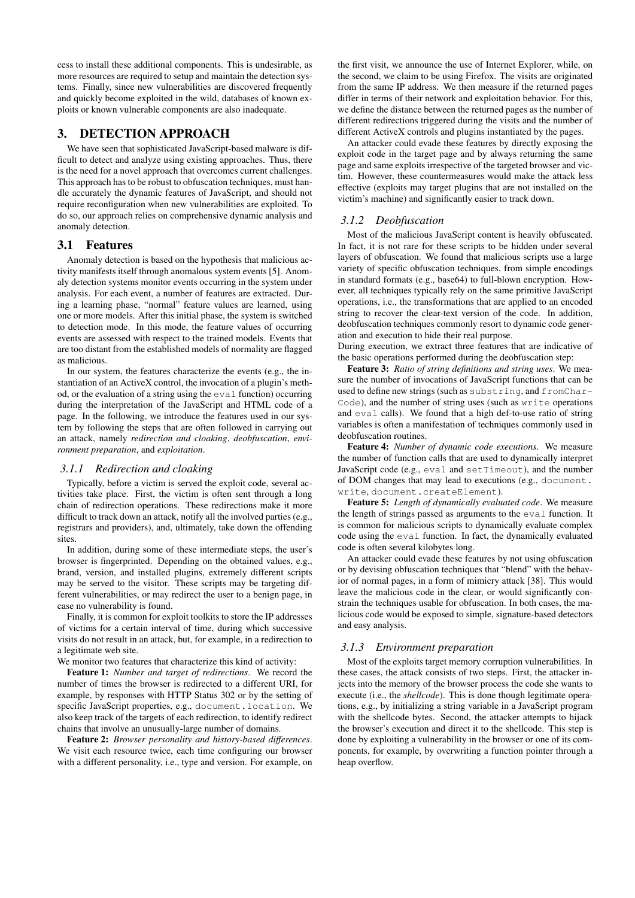cess to install these additional components. This is undesirable, as more resources are required to setup and maintain the detection systems. Finally, since new vulnerabilities are discovered frequently and quickly become exploited in the wild, databases of known exploits or known vulnerable components are also inadequate.

# 3. DETECTION APPROACH

We have seen that sophisticated JavaScript-based malware is difficult to detect and analyze using existing approaches. Thus, there is the need for a novel approach that overcomes current challenges. This approach has to be robust to obfuscation techniques, must handle accurately the dynamic features of JavaScript, and should not require reconfiguration when new vulnerabilities are exploited. To do so, our approach relies on comprehensive dynamic analysis and anomaly detection.

## 3.1 Features

Anomaly detection is based on the hypothesis that malicious activity manifests itself through anomalous system events [5]. Anomaly detection systems monitor events occurring in the system under analysis. For each event, a number of features are extracted. During a learning phase, "normal" feature values are learned, using one or more models. After this initial phase, the system is switched to detection mode. In this mode, the feature values of occurring events are assessed with respect to the trained models. Events that are too distant from the established models of normality are flagged as malicious.

In our system, the features characterize the events (e.g., the instantiation of an ActiveX control, the invocation of a plugin's method, or the evaluation of a string using the eval function) occurring during the interpretation of the JavaScript and HTML code of a page. In the following, we introduce the features used in our system by following the steps that are often followed in carrying out an attack, namely *redirection and cloaking*, *deobfuscation*, *environment preparation*, and *exploitation*.

#### *3.1.1 Redirection and cloaking*

Typically, before a victim is served the exploit code, several activities take place. First, the victim is often sent through a long chain of redirection operations. These redirections make it more difficult to track down an attack, notify all the involved parties (e.g., registrars and providers), and, ultimately, take down the offending sites.

In addition, during some of these intermediate steps, the user's browser is fingerprinted. Depending on the obtained values, e.g., brand, version, and installed plugins, extremely different scripts may be served to the visitor. These scripts may be targeting different vulnerabilities, or may redirect the user to a benign page, in case no vulnerability is found.

Finally, it is common for exploit toolkits to store the IP addresses of victims for a certain interval of time, during which successive visits do not result in an attack, but, for example, in a redirection to a legitimate web site.

We monitor two features that characterize this kind of activity:

Feature 1: *Number and target of redirections*. We record the number of times the browser is redirected to a different URI, for example, by responses with HTTP Status 302 or by the setting of specific JavaScript properties, e.g., document.location. We also keep track of the targets of each redirection, to identify redirect chains that involve an unusually-large number of domains.

Feature 2: *Browser personality and history-based differences*. We visit each resource twice, each time configuring our browser with a different personality, i.e., type and version. For example, on

the first visit, we announce the use of Internet Explorer, while, on the second, we claim to be using Firefox. The visits are originated from the same IP address. We then measure if the returned pages differ in terms of their network and exploitation behavior. For this, we define the distance between the returned pages as the number of different redirections triggered during the visits and the number of different ActiveX controls and plugins instantiated by the pages.

An attacker could evade these features by directly exposing the exploit code in the target page and by always returning the same page and same exploits irrespective of the targeted browser and victim. However, these countermeasures would make the attack less effective (exploits may target plugins that are not installed on the victim's machine) and significantly easier to track down.

#### *3.1.2 Deobfuscation*

Most of the malicious JavaScript content is heavily obfuscated. In fact, it is not rare for these scripts to be hidden under several layers of obfuscation. We found that malicious scripts use a large variety of specific obfuscation techniques, from simple encodings in standard formats (e.g., base64) to full-blown encryption. However, all techniques typically rely on the same primitive JavaScript operations, i.e., the transformations that are applied to an encoded string to recover the clear-text version of the code. In addition, deobfuscation techniques commonly resort to dynamic code generation and execution to hide their real purpose.

During execution, we extract three features that are indicative of the basic operations performed during the deobfuscation step:

Feature 3: *Ratio of string definitions and string uses*. We measure the number of invocations of JavaScript functions that can be used to define new strings (such as substring, and fromChar-Code), and the number of string uses (such as write operations and eval calls). We found that a high def-to-use ratio of string variables is often a manifestation of techniques commonly used in deobfuscation routines.

Feature 4: *Number of dynamic code executions*. We measure the number of function calls that are used to dynamically interpret JavaScript code (e.g., eval and setTimeout), and the number of DOM changes that may lead to executions (e.g., document. write, document.createElement).

Feature 5: *Length of dynamically evaluated code*. We measure the length of strings passed as arguments to the eval function. It is common for malicious scripts to dynamically evaluate complex code using the eval function. In fact, the dynamically evaluated code is often several kilobytes long.

An attacker could evade these features by not using obfuscation or by devising obfuscation techniques that "blend" with the behavior of normal pages, in a form of mimicry attack [38]. This would leave the malicious code in the clear, or would significantly constrain the techniques usable for obfuscation. In both cases, the malicious code would be exposed to simple, signature-based detectors and easy analysis.

#### *3.1.3 Environment preparation*

Most of the exploits target memory corruption vulnerabilities. In these cases, the attack consists of two steps. First, the attacker injects into the memory of the browser process the code she wants to execute (i.e., the *shellcode*). This is done though legitimate operations, e.g., by initializing a string variable in a JavaScript program with the shellcode bytes. Second, the attacker attempts to hijack the browser's execution and direct it to the shellcode. This step is done by exploiting a vulnerability in the browser or one of its components, for example, by overwriting a function pointer through a heap overflow.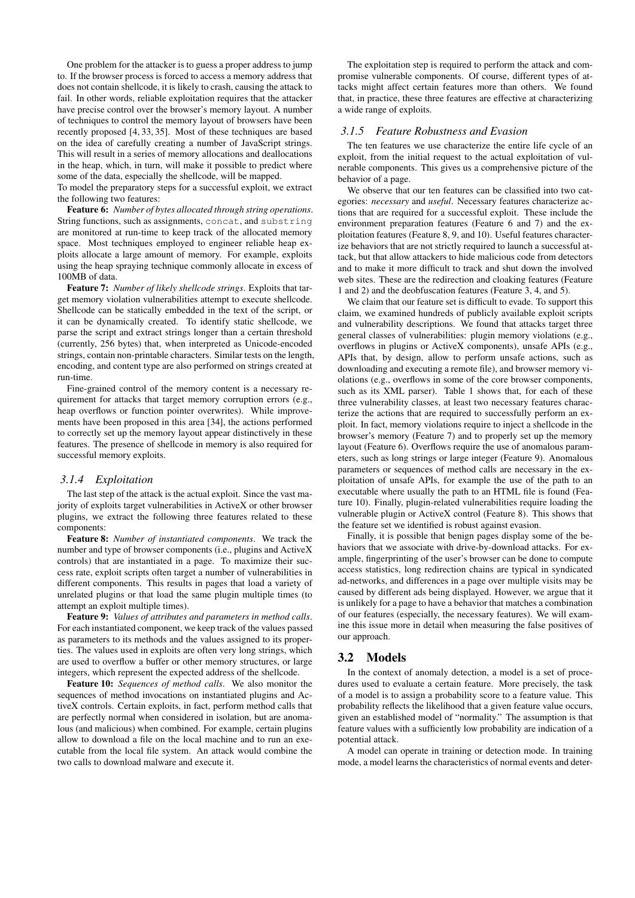One problem for the attacker is to guess a proper address to jump to. If the browser process is forced to access a memory address that does not contain shellcode, it is likely to crash, causing the attack to fail. In other words, reliable exploitation requires that the attacker have precise control over the browser's memory layout. A number of techniques to control the memory layout of browsers have been recently proposed [4, 33, 35]. Most of these techniques are based on the idea of carefully creating a number of JavaScript strings. This will result in a series of memory allocations and deallocations in the heap, which, in turn, will make it possible to predict where some of the data, especially the shellcode, will be mapped.

To model the preparatory steps for a successful exploit, we extract the following two features:

Feature 6: *Number of bytes allocated through string operations*. String functions, such as assignments, concat, and substring are monitored at run-time to keep track of the allocated memory space. Most techniques employed to engineer reliable heap exploits allocate a large amount of memory. For example, exploits using the heap spraying technique commonly allocate in excess of 100MB of data.

Feature 7: *Number of likely shellcode strings*. Exploits that target memory violation vulnerabilities attempt to execute shellcode. Shellcode can be statically embedded in the text of the script, or it can be dynamically created. To identify static shellcode, we parse the script and extract strings longer than a certain threshold (currently, 256 bytes) that, when interpreted as Unicode-encoded strings, contain non-printable characters. Similar tests on the length, encoding, and content type are also performed on strings created at run-time.

Fine-grained control of the memory content is a necessary requirement for attacks that target memory corruption errors (e.g., heap overflows or function pointer overwrites). While improvements have been proposed in this area [34], the actions performed to correctly set up the memory layout appear distinctively in these features. The presence of shellcode in memory is also required for successful memory exploits.

#### *3.1.4 Exploitation*

The last step of the attack is the actual exploit. Since the vast majority of exploits target vulnerabilities in ActiveX or other browser plugins, we extract the following three features related to these components:

Feature 8: *Number of instantiated components*. We track the number and type of browser components (i.e., plugins and ActiveX controls) that are instantiated in a page. To maximize their success rate, exploit scripts often target a number of vulnerabilities in different components. This results in pages that load a variety of unrelated plugins or that load the same plugin multiple times (to attempt an exploit multiple times).

Feature 9: *Values of attributes and parameters in method calls*. For each instantiated component, we keep track of the values passed as parameters to its methods and the values assigned to its properties. The values used in exploits are often very long strings, which are used to overflow a buffer or other memory structures, or large integers, which represent the expected address of the shellcode.

Feature 10: *Sequences of method calls*. We also monitor the sequences of method invocations on instantiated plugins and ActiveX controls. Certain exploits, in fact, perform method calls that are perfectly normal when considered in isolation, but are anomalous (and malicious) when combined. For example, certain plugins allow to download a file on the local machine and to run an executable from the local file system. An attack would combine the two calls to download malware and execute it.

The exploitation step is required to perform the attack and compromise vulnerable components. Of course, different types of attacks might affect certain features more than others. We found that, in practice, these three features are effective at characterizing a wide range of exploits.

#### *3.1.5 Feature Robustness and Evasion*

The ten features we use characterize the entire life cycle of an exploit, from the initial request to the actual exploitation of vulnerable components. This gives us a comprehensive picture of the behavior of a page.

We observe that our ten features can be classified into two categories: *necessary* and *useful*. Necessary features characterize actions that are required for a successful exploit. These include the environment preparation features (Feature 6 and 7) and the exploitation features (Feature 8, 9, and 10). Useful features characterize behaviors that are not strictly required to launch a successful attack, but that allow attackers to hide malicious code from detectors and to make it more difficult to track and shut down the involved web sites. These are the redirection and cloaking features (Feature 1 and 2) and the deobfuscation features (Feature 3, 4, and 5).

We claim that our feature set is difficult to evade. To support this claim, we examined hundreds of publicly available exploit scripts and vulnerability descriptions. We found that attacks target three general classes of vulnerabilities: plugin memory violations (e.g., overflows in plugins or ActiveX components), unsafe APIs (e.g., APIs that, by design, allow to perform unsafe actions, such as downloading and executing a remote file), and browser memory violations (e.g., overflows in some of the core browser components, such as its XML parser). Table 1 shows that, for each of these three vulnerability classes, at least two necessary features characterize the actions that are required to successfully perform an exploit. In fact, memory violations require to inject a shellcode in the browser's memory (Feature 7) and to properly set up the memory layout (Feature 6). Overflows require the use of anomalous parameters, such as long strings or large integer (Feature 9). Anomalous parameters or sequences of method calls are necessary in the exploitation of unsafe APIs, for example the use of the path to an executable where usually the path to an HTML file is found (Feature 10). Finally, plugin-related vulnerabilities require loading the vulnerable plugin or ActiveX control (Feature 8). This shows that the feature set we identified is robust against evasion.

Finally, it is possible that benign pages display some of the behaviors that we associate with drive-by-download attacks. For example, fingerprinting of the user's browser can be done to compute access statistics, long redirection chains are typical in syndicated ad-networks, and differences in a page over multiple visits may be caused by different ads being displayed. However, we argue that it is unlikely for a page to have a behavior that matches a combination of our features (especially, the necessary features). We will examine this issue more in detail when measuring the false positives of our approach.

# 3.2 Models

In the context of anomaly detection, a model is a set of procedures used to evaluate a certain feature. More precisely, the task of a model is to assign a probability score to a feature value. This probability reflects the likelihood that a given feature value occurs, given an established model of "normality." The assumption is that feature values with a sufficiently low probability are indication of a potential attack.

A model can operate in training or detection mode. In training mode, a model learns the characteristics of normal events and deter-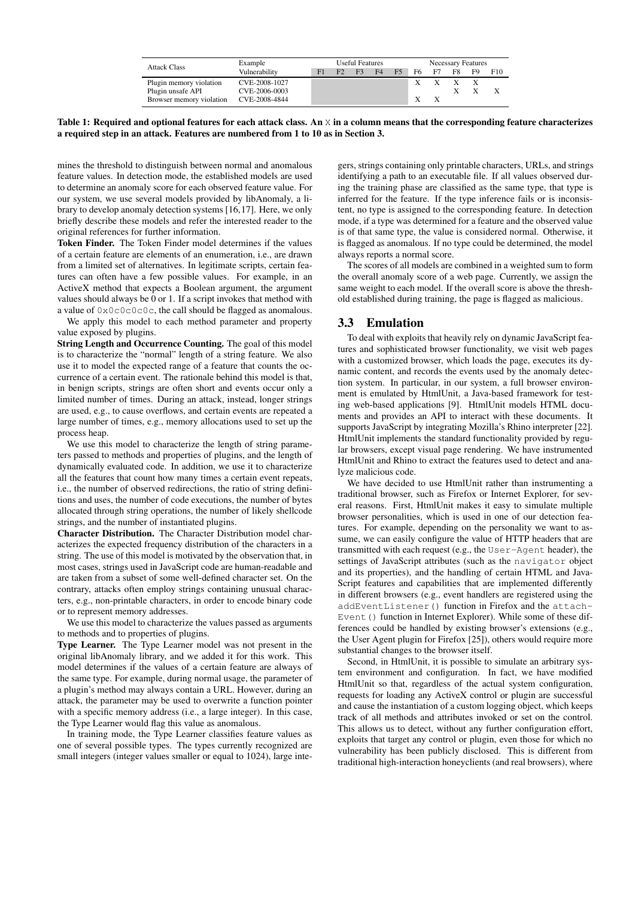| <b>Attack Class</b>      | Example<br><b>Useful Features</b> |    |    | <b>Necessary Features</b> |    |                |    |    |    |    |     |
|--------------------------|-----------------------------------|----|----|---------------------------|----|----------------|----|----|----|----|-----|
|                          | Vulnerability                     | F1 | F2 | F <sup>3</sup>            | F4 | F <sub>5</sub> | F6 | F7 | F8 | F9 | F10 |
| Plugin memory violation  | CVE-2008-1027                     |    |    |                           |    |                | X  |    |    |    |     |
| Plugin unsafe API        | CVE-2006-0003                     |    |    |                           |    |                |    |    |    |    |     |
| Browser memory violation | CVE-2008-4844                     |    |    |                           |    |                |    |    |    |    |     |

Table 1: Required and optional features for each attack class. An  $X$  in a column means that the corresponding feature characterizes a required step in an attack. Features are numbered from 1 to 10 as in Section 3.

mines the threshold to distinguish between normal and anomalous feature values. In detection mode, the established models are used to determine an anomaly score for each observed feature value. For our system, we use several models provided by libAnomaly, a library to develop anomaly detection systems [16,17]. Here, we only briefly describe these models and refer the interested reader to the original references for further information.

Token Finder. The Token Finder model determines if the values of a certain feature are elements of an enumeration, i.e., are drawn from a limited set of alternatives. In legitimate scripts, certain features can often have a few possible values. For example, in an ActiveX method that expects a Boolean argument, the argument values should always be 0 or 1. If a script invokes that method with a value of  $0 \times 0 \in 0 \in 0 \infty$ , the call should be flagged as anomalous.

We apply this model to each method parameter and property value exposed by plugins.

String Length and Occurrence Counting. The goal of this model is to characterize the "normal" length of a string feature. We also use it to model the expected range of a feature that counts the occurrence of a certain event. The rationale behind this model is that, in benign scripts, strings are often short and events occur only a limited number of times. During an attack, instead, longer strings are used, e.g., to cause overflows, and certain events are repeated a large number of times, e.g., memory allocations used to set up the process heap.

We use this model to characterize the length of string parameters passed to methods and properties of plugins, and the length of dynamically evaluated code. In addition, we use it to characterize all the features that count how many times a certain event repeats, i.e., the number of observed redirections, the ratio of string definitions and uses, the number of code executions, the number of bytes allocated through string operations, the number of likely shellcode strings, and the number of instantiated plugins.

Character Distribution. The Character Distribution model characterizes the expected frequency distribution of the characters in a string. The use of this model is motivated by the observation that, in most cases, strings used in JavaScript code are human-readable and are taken from a subset of some well-defined character set. On the contrary, attacks often employ strings containing unusual characters, e.g., non-printable characters, in order to encode binary code or to represent memory addresses.

We use this model to characterize the values passed as arguments to methods and to properties of plugins.

Type Learner. The Type Learner model was not present in the original libAnomaly library, and we added it for this work. This model determines if the values of a certain feature are always of the same type. For example, during normal usage, the parameter of a plugin's method may always contain a URL. However, during an attack, the parameter may be used to overwrite a function pointer with a specific memory address (i.e., a large integer). In this case, the Type Learner would flag this value as anomalous.

In training mode, the Type Learner classifies feature values as one of several possible types. The types currently recognized are small integers (integer values smaller or equal to 1024), large integers, strings containing only printable characters, URLs, and strings identifying a path to an executable file. If all values observed during the training phase are classified as the same type, that type is inferred for the feature. If the type inference fails or is inconsistent, no type is assigned to the corresponding feature. In detection mode, if a type was determined for a feature and the observed value is of that same type, the value is considered normal. Otherwise, it is flagged as anomalous. If no type could be determined, the model always reports a normal score.

The scores of all models are combined in a weighted sum to form the overall anomaly score of a web page. Currently, we assign the same weight to each model. If the overall score is above the threshold established during training, the page is flagged as malicious.

# 3.3 Emulation

To deal with exploits that heavily rely on dynamic JavaScript features and sophisticated browser functionality, we visit web pages with a customized browser, which loads the page, executes its dynamic content, and records the events used by the anomaly detection system. In particular, in our system, a full browser environment is emulated by HtmlUnit, a Java-based framework for testing web-based applications [9]. HtmlUnit models HTML documents and provides an API to interact with these documents. It supports JavaScript by integrating Mozilla's Rhino interpreter [22]. HtmlUnit implements the standard functionality provided by regular browsers, except visual page rendering. We have instrumented HtmlUnit and Rhino to extract the features used to detect and analyze malicious code.

We have decided to use HtmlUnit rather than instrumenting a traditional browser, such as Firefox or Internet Explorer, for several reasons. First, HtmlUnit makes it easy to simulate multiple browser personalities, which is used in one of our detection features. For example, depending on the personality we want to assume, we can easily configure the value of HTTP headers that are transmitted with each request (e.g., the User-Agent header), the settings of JavaScript attributes (such as the navigator object and its properties), and the handling of certain HTML and Java-Script features and capabilities that are implemented differently in different browsers (e.g., event handlers are registered using the addEventListener() function in Firefox and the attach-Event () function in Internet Explorer). While some of these differences could be handled by existing browser's extensions (e.g., the User Agent plugin for Firefox [25]), others would require more substantial changes to the browser itself.

Second, in HtmlUnit, it is possible to simulate an arbitrary system environment and configuration. In fact, we have modified HtmlUnit so that, regardless of the actual system configuration, requests for loading any ActiveX control or plugin are successful and cause the instantiation of a custom logging object, which keeps track of all methods and attributes invoked or set on the control. This allows us to detect, without any further configuration effort, exploits that target any control or plugin, even those for which no vulnerability has been publicly disclosed. This is different from traditional high-interaction honeyclients (and real browsers), where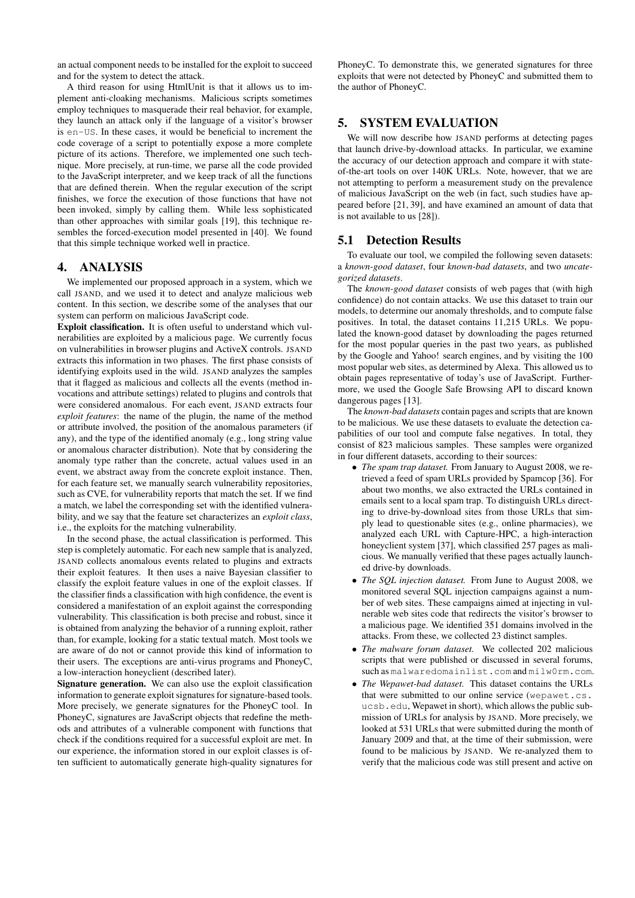an actual component needs to be installed for the exploit to succeed and for the system to detect the attack.

A third reason for using HtmlUnit is that it allows us to implement anti-cloaking mechanisms. Malicious scripts sometimes employ techniques to masquerade their real behavior, for example, they launch an attack only if the language of a visitor's browser is en-US. In these cases, it would be beneficial to increment the code coverage of a script to potentially expose a more complete picture of its actions. Therefore, we implemented one such technique. More precisely, at run-time, we parse all the code provided to the JavaScript interpreter, and we keep track of all the functions that are defined therein. When the regular execution of the script finishes, we force the execution of those functions that have not been invoked, simply by calling them. While less sophisticated than other approaches with similar goals [19], this technique resembles the forced-execution model presented in [40]. We found that this simple technique worked well in practice.

# 4. ANALYSIS

We implemented our proposed approach in a system, which we call JSAND, and we used it to detect and analyze malicious web content. In this section, we describe some of the analyses that our system can perform on malicious JavaScript code.

Exploit classification. It is often useful to understand which vulnerabilities are exploited by a malicious page. We currently focus on vulnerabilities in browser plugins and ActiveX controls. JSAND extracts this information in two phases. The first phase consists of identifying exploits used in the wild. JSAND analyzes the samples that it flagged as malicious and collects all the events (method invocations and attribute settings) related to plugins and controls that were considered anomalous. For each event, JSAND extracts four *exploit features*: the name of the plugin, the name of the method or attribute involved, the position of the anomalous parameters (if any), and the type of the identified anomaly (e.g., long string value or anomalous character distribution). Note that by considering the anomaly type rather than the concrete, actual values used in an event, we abstract away from the concrete exploit instance. Then, for each feature set, we manually search vulnerability repositories, such as CVE, for vulnerability reports that match the set. If we find a match, we label the corresponding set with the identified vulnerability, and we say that the feature set characterizes an *exploit class*, i.e., the exploits for the matching vulnerability.

In the second phase, the actual classification is performed. This step is completely automatic. For each new sample that is analyzed, JSAND collects anomalous events related to plugins and extracts their exploit features. It then uses a naive Bayesian classifier to classify the exploit feature values in one of the exploit classes. If the classifier finds a classification with high confidence, the event is considered a manifestation of an exploit against the corresponding vulnerability. This classification is both precise and robust, since it is obtained from analyzing the behavior of a running exploit, rather than, for example, looking for a static textual match. Most tools we are aware of do not or cannot provide this kind of information to their users. The exceptions are anti-virus programs and PhoneyC, a low-interaction honeyclient (described later).

Signature generation. We can also use the exploit classification information to generate exploit signatures for signature-based tools. More precisely, we generate signatures for the PhoneyC tool. In PhoneyC, signatures are JavaScript objects that redefine the methods and attributes of a vulnerable component with functions that check if the conditions required for a successful exploit are met. In our experience, the information stored in our exploit classes is often sufficient to automatically generate high-quality signatures for PhoneyC. To demonstrate this, we generated signatures for three exploits that were not detected by PhoneyC and submitted them to the author of PhoneyC.

# 5. SYSTEM EVALUATION

We will now describe how JSAND performs at detecting pages that launch drive-by-download attacks. In particular, we examine the accuracy of our detection approach and compare it with stateof-the-art tools on over 140K URLs. Note, however, that we are not attempting to perform a measurement study on the prevalence of malicious JavaScript on the web (in fact, such studies have appeared before [21, 39], and have examined an amount of data that is not available to us [28]).

## 5.1 Detection Results

To evaluate our tool, we compiled the following seven datasets: a *known-good dataset*, four *known-bad datasets*, and two *uncategorized datasets*.

The *known-good dataset* consists of web pages that (with high confidence) do not contain attacks. We use this dataset to train our models, to determine our anomaly thresholds, and to compute false positives. In total, the dataset contains 11,215 URLs. We populated the known-good dataset by downloading the pages returned for the most popular queries in the past two years, as published by the Google and Yahoo! search engines, and by visiting the 100 most popular web sites, as determined by Alexa. This allowed us to obtain pages representative of today's use of JavaScript. Furthermore, we used the Google Safe Browsing API to discard known dangerous pages [13].

The *known-bad datasets* contain pages and scripts that are known to be malicious. We use these datasets to evaluate the detection capabilities of our tool and compute false negatives. In total, they consist of 823 malicious samples. These samples were organized in four different datasets, according to their sources:

- *The spam trap dataset.* From January to August 2008, we retrieved a feed of spam URLs provided by Spamcop [36]. For about two months, we also extracted the URLs contained in emails sent to a local spam trap. To distinguish URLs directing to drive-by-download sites from those URLs that simply lead to questionable sites (e.g., online pharmacies), we analyzed each URL with Capture-HPC, a high-interaction honeyclient system [37], which classified 257 pages as malicious. We manually verified that these pages actually launched drive-by downloads.
- *The SQL injection dataset.* From June to August 2008, we monitored several SQL injection campaigns against a number of web sites. These campaigns aimed at injecting in vulnerable web sites code that redirects the visitor's browser to a malicious page. We identified 351 domains involved in the attacks. From these, we collected 23 distinct samples.
- *The malware forum dataset.* We collected 202 malicious scripts that were published or discussed in several forums, such as malwaredomainlist.com and milw0rm.com.
- *The Wepawet-bad dataset.* This dataset contains the URLs that were submitted to our online service (wepawet.cs. ucsb.edu, Wepawet in short), which allows the public submission of URLs for analysis by JSAND. More precisely, we looked at 531 URLs that were submitted during the month of January 2009 and that, at the time of their submission, were found to be malicious by JSAND. We re-analyzed them to verify that the malicious code was still present and active on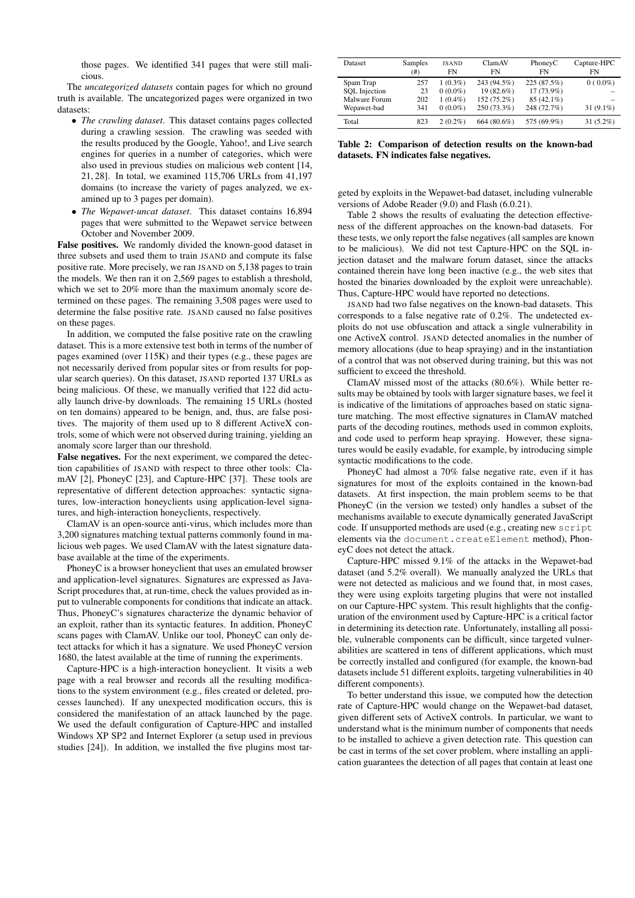those pages. We identified 341 pages that were still malicious.

The *uncategorized datasets* contain pages for which no ground truth is available. The uncategorized pages were organized in two datasets:

- *The crawling dataset*. This dataset contains pages collected during a crawling session. The crawling was seeded with the results produced by the Google, Yahoo!, and Live search engines for queries in a number of categories, which were also used in previous studies on malicious web content [14, 21, 28]. In total, we examined 115,706 URLs from 41,197 domains (to increase the variety of pages analyzed, we examined up to 3 pages per domain).
- *The Wepawet-uncat dataset*. This dataset contains 16,894 pages that were submitted to the Wepawet service between October and November 2009.

False positives. We randomly divided the known-good dataset in three subsets and used them to train JSAND and compute its false positive rate. More precisely, we ran JSAND on 5,138 pages to train the models. We then ran it on 2,569 pages to establish a threshold, which we set to 20% more than the maximum anomaly score determined on these pages. The remaining 3,508 pages were used to determine the false positive rate. JSAND caused no false positives on these pages.

In addition, we computed the false positive rate on the crawling dataset. This is a more extensive test both in terms of the number of pages examined (over 115K) and their types (e.g., these pages are not necessarily derived from popular sites or from results for popular search queries). On this dataset, JSAND reported 137 URLs as being malicious. Of these, we manually verified that 122 did actually launch drive-by downloads. The remaining 15 URLs (hosted on ten domains) appeared to be benign, and, thus, are false positives. The majority of them used up to 8 different ActiveX controls, some of which were not observed during training, yielding an anomaly score larger than our threshold.

False negatives. For the next experiment, we compared the detection capabilities of JSAND with respect to three other tools: ClamAV [2], PhoneyC [23], and Capture-HPC [37]. These tools are representative of different detection approaches: syntactic signatures, low-interaction honeyclients using application-level signatures, and high-interaction honeyclients, respectively.

ClamAV is an open-source anti-virus, which includes more than 3,200 signatures matching textual patterns commonly found in malicious web pages. We used ClamAV with the latest signature database available at the time of the experiments.

PhoneyC is a browser honeyclient that uses an emulated browser and application-level signatures. Signatures are expressed as Java-Script procedures that, at run-time, check the values provided as input to vulnerable components for conditions that indicate an attack. Thus, PhoneyC's signatures characterize the dynamic behavior of an exploit, rather than its syntactic features. In addition, PhoneyC scans pages with ClamAV. Unlike our tool, PhoneyC can only detect attacks for which it has a signature. We used PhoneyC version 1680, the latest available at the time of running the experiments.

Capture-HPC is a high-interaction honeyclient. It visits a web page with a real browser and records all the resulting modifications to the system environment (e.g., files created or deleted, processes launched). If any unexpected modification occurs, this is considered the manifestation of an attack launched by the page. We used the default configuration of Capture-HPC and installed Windows XP SP2 and Internet Explorer (a setup used in previous studies [24]). In addition, we installed the five plugins most tar-

| Dataset              | Samples<br>$^{(+)}$ | <b>JSAND</b><br>FN | ClamAV<br><b>FN</b> | PhoneyC<br><b>FN</b> | Capture-HPC<br><b>FN</b> |
|----------------------|---------------------|--------------------|---------------------|----------------------|--------------------------|
| Spam Trap            | 257                 | $1(0.3\%)$         | 243 (94.5%)         | 225 (87.5%)          | $0(0.0\%)$               |
| <b>SOL</b> Injection | 23                  | $0(0.0\%)$         | 19 (82.6%)          | 17 (73.9%)           |                          |
| Malware Forum        | 202                 | $1(0.4\%)$         | 152 (75.2%)         | 85 (42.1%)           |                          |
| Wepawet-bad          | 341                 | $0(0.0\%)$         | 250 (73.3%)         | 248 (72.7%)          | $31(9.1\%)$              |
| Total                | 823                 | $2(0.2\%)$         | 664 (80.6%)         | 575 (69.9%)          | $31(5.2\%)$              |

Table 2: Comparison of detection results on the known-bad datasets. FN indicates false negatives.

geted by exploits in the Wepawet-bad dataset, including vulnerable versions of Adobe Reader (9.0) and Flash (6.0.21).

Table 2 shows the results of evaluating the detection effectiveness of the different approaches on the known-bad datasets. For these tests, we only report the false negatives (all samples are known to be malicious). We did not test Capture-HPC on the SQL injection dataset and the malware forum dataset, since the attacks contained therein have long been inactive (e.g., the web sites that hosted the binaries downloaded by the exploit were unreachable). Thus, Capture-HPC would have reported no detections.

JSAND had two false negatives on the known-bad datasets. This corresponds to a false negative rate of 0.2%. The undetected exploits do not use obfuscation and attack a single vulnerability in one ActiveX control. JSAND detected anomalies in the number of memory allocations (due to heap spraying) and in the instantiation of a control that was not observed during training, but this was not sufficient to exceed the threshold.

ClamAV missed most of the attacks (80.6%). While better results may be obtained by tools with larger signature bases, we feel it is indicative of the limitations of approaches based on static signature matching. The most effective signatures in ClamAV matched parts of the decoding routines, methods used in common exploits, and code used to perform heap spraying. However, these signatures would be easily evadable, for example, by introducing simple syntactic modifications to the code.

PhoneyC had almost a 70% false negative rate, even if it has signatures for most of the exploits contained in the known-bad datasets. At first inspection, the main problem seems to be that PhoneyC (in the version we tested) only handles a subset of the mechanisms available to execute dynamically generated JavaScript code. If unsupported methods are used (e.g., creating new script elements via the document.createElement method), PhoneyC does not detect the attack.

Capture-HPC missed 9.1% of the attacks in the Wepawet-bad dataset (and 5.2% overall). We manually analyzed the URLs that were not detected as malicious and we found that, in most cases, they were using exploits targeting plugins that were not installed on our Capture-HPC system. This result highlights that the configuration of the environment used by Capture-HPC is a critical factor in determining its detection rate. Unfortunately, installing all possible, vulnerable components can be difficult, since targeted vulnerabilities are scattered in tens of different applications, which must be correctly installed and configured (for example, the known-bad datasets include 51 different exploits, targeting vulnerabilities in 40 different components).

To better understand this issue, we computed how the detection rate of Capture-HPC would change on the Wepawet-bad dataset, given different sets of ActiveX controls. In particular, we want to understand what is the minimum number of components that needs to be installed to achieve a given detection rate. This question can be cast in terms of the set cover problem, where installing an application guarantees the detection of all pages that contain at least one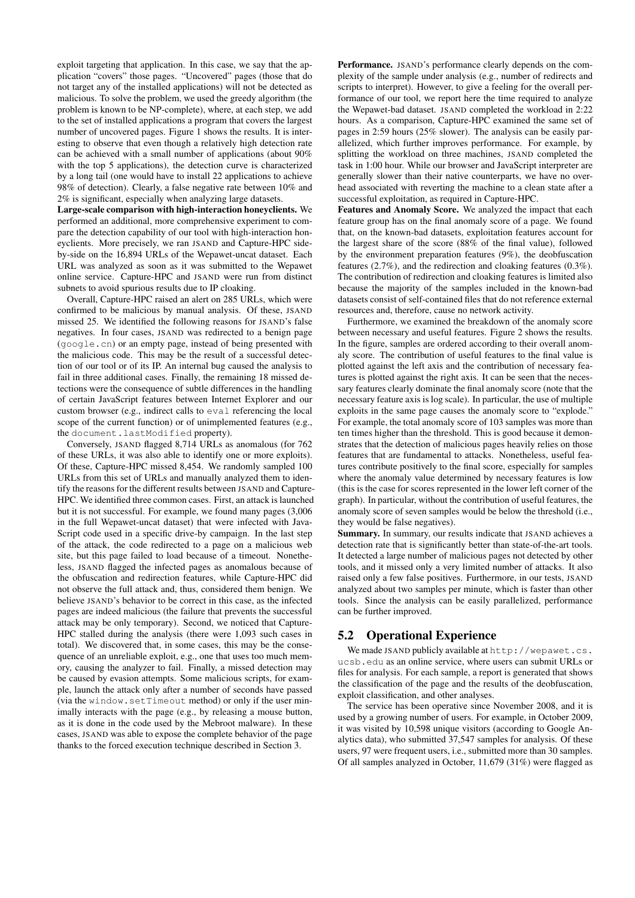exploit targeting that application. In this case, we say that the application "covers" those pages. "Uncovered" pages (those that do not target any of the installed applications) will not be detected as malicious. To solve the problem, we used the greedy algorithm (the problem is known to be NP-complete), where, at each step, we add to the set of installed applications a program that covers the largest number of uncovered pages. Figure 1 shows the results. It is interesting to observe that even though a relatively high detection rate can be achieved with a small number of applications (about 90% with the top 5 applications), the detection curve is characterized by a long tail (one would have to install 22 applications to achieve 98% of detection). Clearly, a false negative rate between 10% and 2% is significant, especially when analyzing large datasets.

Large-scale comparison with high-interaction honeyclients. We performed an additional, more comprehensive experiment to compare the detection capability of our tool with high-interaction honeyclients. More precisely, we ran JSAND and Capture-HPC sideby-side on the 16,894 URLs of the Wepawet-uncat dataset. Each URL was analyzed as soon as it was submitted to the Wepawet online service. Capture-HPC and JSAND were run from distinct subnets to avoid spurious results due to IP cloaking.

Overall, Capture-HPC raised an alert on 285 URLs, which were confirmed to be malicious by manual analysis. Of these, JSAND missed 25. We identified the following reasons for JSAND's false negatives. In four cases, JSAND was redirected to a benign page (google.cn) or an empty page, instead of being presented with the malicious code. This may be the result of a successful detection of our tool or of its IP. An internal bug caused the analysis to fail in three additional cases. Finally, the remaining 18 missed detections were the consequence of subtle differences in the handling of certain JavaScript features between Internet Explorer and our custom browser (e.g., indirect calls to eval referencing the local scope of the current function) or of unimplemented features (e.g., the document.lastModified property).

Conversely, JSAND flagged 8,714 URLs as anomalous (for 762 of these URLs, it was also able to identify one or more exploits). Of these, Capture-HPC missed 8,454. We randomly sampled 100 URLs from this set of URLs and manually analyzed them to identify the reasons for the different results between JSAND and Capture-HPC. We identified three common cases. First, an attack is launched but it is not successful. For example, we found many pages (3,006 in the full Wepawet-uncat dataset) that were infected with Java-Script code used in a specific drive-by campaign. In the last step of the attack, the code redirected to a page on a malicious web site, but this page failed to load because of a timeout. Nonetheless, JSAND flagged the infected pages as anomalous because of the obfuscation and redirection features, while Capture-HPC did not observe the full attack and, thus, considered them benign. We believe JSAND's behavior to be correct in this case, as the infected pages are indeed malicious (the failure that prevents the successful attack may be only temporary). Second, we noticed that Capture-HPC stalled during the analysis (there were 1,093 such cases in total). We discovered that, in some cases, this may be the consequence of an unreliable exploit, e.g., one that uses too much memory, causing the analyzer to fail. Finally, a missed detection may be caused by evasion attempts. Some malicious scripts, for example, launch the attack only after a number of seconds have passed (via the window.setTimeout method) or only if the user minimally interacts with the page (e.g., by releasing a mouse button, as it is done in the code used by the Mebroot malware). In these cases, JSAND was able to expose the complete behavior of the page thanks to the forced execution technique described in Section 3.

Performance. JSAND's performance clearly depends on the complexity of the sample under analysis (e.g., number of redirects and scripts to interpret). However, to give a feeling for the overall performance of our tool, we report here the time required to analyze the Wepawet-bad dataset. JSAND completed the workload in 2:22 hours. As a comparison, Capture-HPC examined the same set of pages in 2:59 hours (25% slower). The analysis can be easily parallelized, which further improves performance. For example, by splitting the workload on three machines, JSAND completed the task in 1:00 hour. While our browser and JavaScript interpreter are generally slower than their native counterparts, we have no overhead associated with reverting the machine to a clean state after a successful exploitation, as required in Capture-HPC.

Features and Anomaly Score. We analyzed the impact that each feature group has on the final anomaly score of a page. We found that, on the known-bad datasets, exploitation features account for the largest share of the score (88% of the final value), followed by the environment preparation features (9%), the deobfuscation features (2.7%), and the redirection and cloaking features (0.3%). The contribution of redirection and cloaking features is limited also because the majority of the samples included in the known-bad datasets consist of self-contained files that do not reference external resources and, therefore, cause no network activity.

Furthermore, we examined the breakdown of the anomaly score between necessary and useful features. Figure 2 shows the results. In the figure, samples are ordered according to their overall anomaly score. The contribution of useful features to the final value is plotted against the left axis and the contribution of necessary features is plotted against the right axis. It can be seen that the necessary features clearly dominate the final anomaly score (note that the necessary feature axis is log scale). In particular, the use of multiple exploits in the same page causes the anomaly score to "explode." For example, the total anomaly score of 103 samples was more than ten times higher than the threshold. This is good because it demonstrates that the detection of malicious pages heavily relies on those features that are fundamental to attacks. Nonetheless, useful features contribute positively to the final score, especially for samples where the anomaly value determined by necessary features is low (this is the case for scores represented in the lower left corner of the graph). In particular, without the contribution of useful features, the anomaly score of seven samples would be below the threshold (i.e., they would be false negatives).

Summary. In summary, our results indicate that JSAND achieves a detection rate that is significantly better than state-of-the-art tools. It detected a large number of malicious pages not detected by other tools, and it missed only a very limited number of attacks. It also raised only a few false positives. Furthermore, in our tests, JSAND analyzed about two samples per minute, which is faster than other tools. Since the analysis can be easily parallelized, performance can be further improved.

# 5.2 Operational Experience

We made JSAND publicly available at http://wepawet.cs. ucsb.edu as an online service, where users can submit URLs or files for analysis. For each sample, a report is generated that shows the classification of the page and the results of the deobfuscation, exploit classification, and other analyses.

The service has been operative since November 2008, and it is used by a growing number of users. For example, in October 2009, it was visited by 10,598 unique visitors (according to Google Analytics data), who submitted 37,547 samples for analysis. Of these users, 97 were frequent users, i.e., submitted more than 30 samples. Of all samples analyzed in October, 11,679 (31%) were flagged as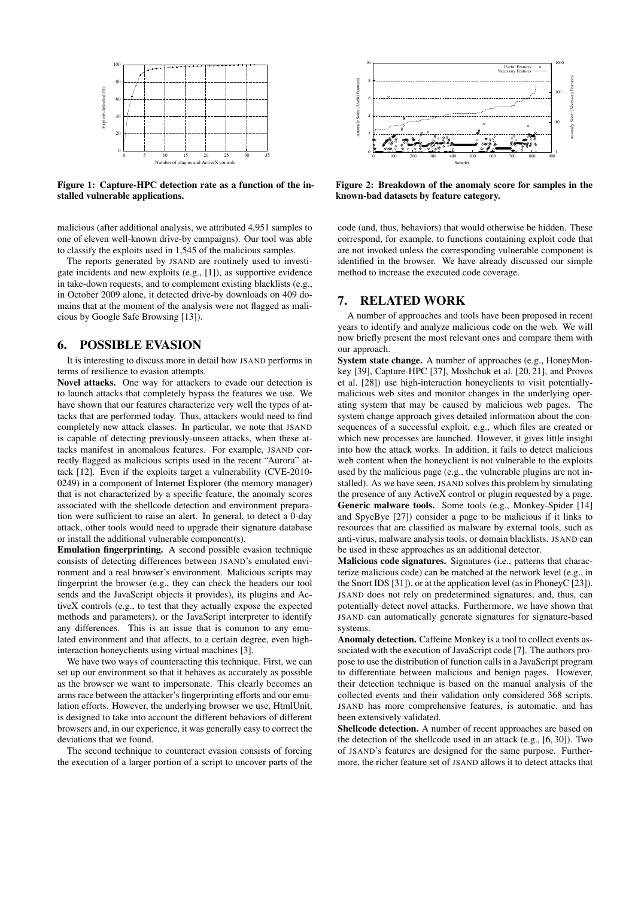

Figure 1: Capture-HPC detection rate as a function of the installed vulnerable applications.

malicious (after additional analysis, we attributed 4,951 samples to one of eleven well-known drive-by campaigns). Our tool was able to classify the exploits used in 1,545 of the malicious samples.

The reports generated by JSAND are routinely used to investigate incidents and new exploits (e.g., [1]), as supportive evidence in take-down requests, and to complement existing blacklists (e.g., in October 2009 alone, it detected drive-by downloads on 409 domains that at the moment of the analysis were not flagged as malicious by Google Safe Browsing [13]).

# 6. POSSIBLE EVASION

It is interesting to discuss more in detail how JSAND performs in terms of resilience to evasion attempts.

Novel attacks. One way for attackers to evade our detection is to launch attacks that completely bypass the features we use. We have shown that our features characterize very well the types of attacks that are performed today. Thus, attackers would need to find completely new attack classes. In particular, we note that JSAND is capable of detecting previously-unseen attacks, when these attacks manifest in anomalous features. For example, JSAND correctly flagged as malicious scripts used in the recent "Aurora" attack [12]. Even if the exploits target a vulnerability (CVE-2010- 0249) in a component of Internet Explorer (the memory manager) that is not characterized by a specific feature, the anomaly scores associated with the shellcode detection and environment preparation were sufficient to raise an alert. In general, to detect a 0-day attack, other tools would need to upgrade their signature database or install the additional vulnerable component(s).

Emulation fingerprinting. A second possible evasion technique consists of detecting differences between JSAND's emulated environment and a real browser's environment. Malicious scripts may fingerprint the browser (e.g., they can check the headers our tool sends and the JavaScript objects it provides), its plugins and ActiveX controls (e.g., to test that they actually expose the expected methods and parameters), or the JavaScript interpreter to identify any differences. This is an issue that is common to any emulated environment and that affects, to a certain degree, even highinteraction honeyclients using virtual machines [3].

We have two ways of counteracting this technique. First, we can set up our environment so that it behaves as accurately as possible as the browser we want to impersonate. This clearly becomes an arms race between the attacker's fingerprinting efforts and our emulation efforts. However, the underlying browser we use, HtmlUnit, is designed to take into account the different behaviors of different browsers and, in our experience, it was generally easy to correct the deviations that we found.

The second technique to counteract evasion consists of forcing the execution of a larger portion of a script to uncover parts of the



Figure 2: Breakdown of the anomaly score for samples in the known-bad datasets by feature category.

code (and, thus, behaviors) that would otherwise be hidden. These correspond, for example, to functions containing exploit code that are not invoked unless the corresponding vulnerable component is identified in the browser. We have already discussed our simple method to increase the executed code coverage.

# 7. RELATED WORK

A number of approaches and tools have been proposed in recent years to identify and analyze malicious code on the web. We will now briefly present the most relevant ones and compare them with our approach.

System state change. A number of approaches (e.g., HoneyMonkey [39], Capture-HPC [37], Moshchuk et al. [20, 21], and Provos et al. [28]) use high-interaction honeyclients to visit potentiallymalicious web sites and monitor changes in the underlying operating system that may be caused by malicious web pages. The system change approach gives detailed information about the consequences of a successful exploit, e.g., which files are created or which new processes are launched. However, it gives little insight into how the attack works. In addition, it fails to detect malicious web content when the honeyclient is not vulnerable to the exploits used by the malicious page (e.g., the vulnerable plugins are not installed). As we have seen, JSAND solves this problem by simulating the presence of any ActiveX control or plugin requested by a page. Generic malware tools. Some tools (e.g., Monkey-Spider [14] and SpyeBye [27]) consider a page to be malicious if it links to resources that are classified as malware by external tools, such as anti-virus, malware analysis tools, or domain blacklists. JSAND can be used in these approaches as an additional detector.

Malicious code signatures. Signatures (i.e., patterns that characterize malicious code) can be matched at the network level (e.g., in the Snort IDS [31]), or at the application level (as in PhoneyC [23]). JSAND does not rely on predetermined signatures, and, thus, can potentially detect novel attacks. Furthermore, we have shown that JSAND can automatically generate signatures for signature-based systems.

Anomaly detection. Caffeine Monkey is a tool to collect events associated with the execution of JavaScript code [7]. The authors propose to use the distribution of function calls in a JavaScript program to differentiate between malicious and benign pages. However, their detection technique is based on the manual analysis of the collected events and their validation only considered 368 scripts. JSAND has more comprehensive features, is automatic, and has been extensively validated.

Shellcode detection. A number of recent approaches are based on the detection of the shellcode used in an attack (e.g., [6, 30]). Two of JSAND's features are designed for the same purpose. Furthermore, the richer feature set of JSAND allows it to detect attacks that